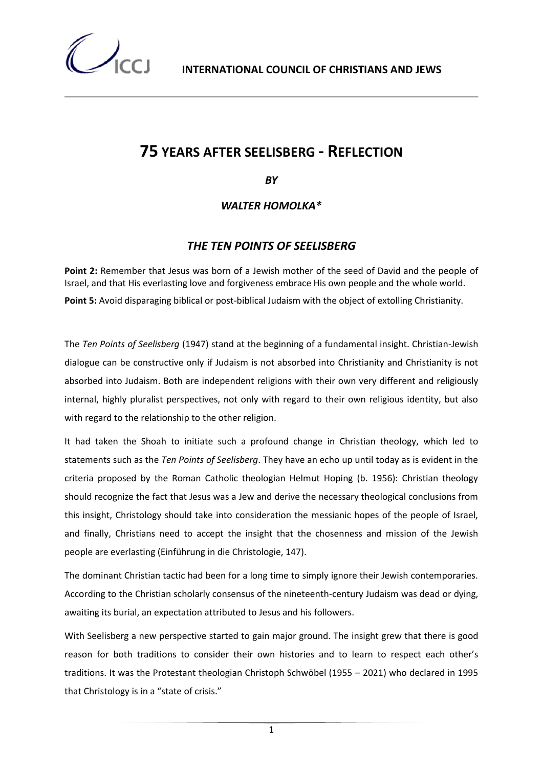## **75 YEARS AFTER SEELISBERG - REFLECTION**

*BY* 

*WALTER HOMOLKA\**

## *THE TEN POINTS OF SEELISBERG*

**Point 2:** Remember that Jesus was born of a Jewish mother of the seed of David and the people of Israel, and that His everlasting love and forgiveness embrace His own people and the whole world. **Point 5:** Avoid disparaging biblical or post-biblical Judaism with the object of extolling Christianity.

The *Ten Points of Seelisberg* (1947) stand at the beginning of a fundamental insight. Christian-Jewish dialogue can be constructive only if Judaism is not absorbed into Christianity and Christianity is not absorbed into Judaism. Both are independent religions with their own very different and religiously internal, highly pluralist perspectives, not only with regard to their own religious identity, but also with regard to the relationship to the other religion.

It had taken the Shoah to initiate such a profound change in Christian theology, which led to statements such as the *Ten Points of Seelisberg*. They have an echo up until today as is evident in the criteria proposed by the Roman Catholic theologian Helmut Hoping (b. 1956): Christian theology should recognize the fact that Jesus was a Jew and derive the necessary theological conclusions from this insight, Christology should take into consideration the messianic hopes of the people of Israel, and finally, Christians need to accept the insight that the chosenness and mission of the Jewish people are everlasting (Einführung in die Christologie, 147).

The dominant Christian tactic had been for a long time to simply ignore their Jewish contemporaries. According to the Christian scholarly consensus of the nineteenth-century Judaism was dead or dying, awaiting its burial, an expectation attributed to Jesus and his followers.

With Seelisberg a new perspective started to gain major ground. The insight grew that there is good reason for both traditions to consider their own histories and to learn to respect each other's traditions. It was the Protestant theologian Christoph Schwöbel (1955 – 2021) who declared in 1995 that Christology is in a "state of crisis."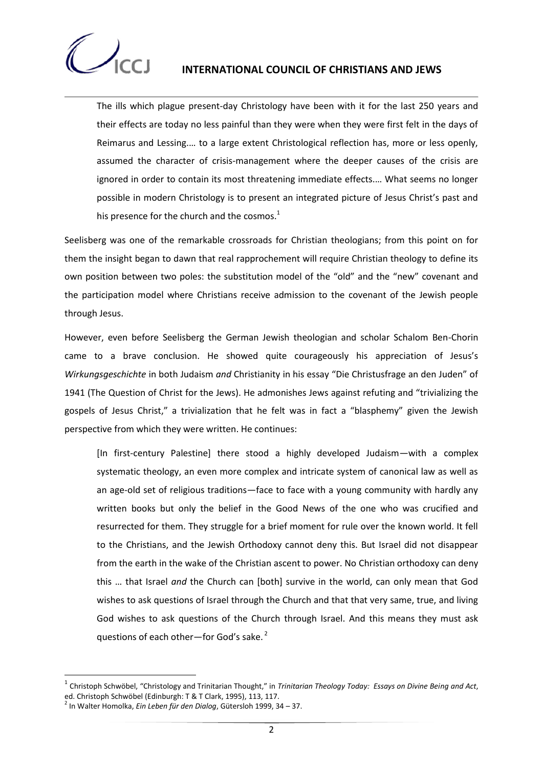

## **INTERNATIONAL COUNCIL OF CHRISTIANS AND JEWS**

The ills which plague present-day Christology have been with it for the last 250 years and their effects are today no less painful than they were when they were first felt in the days of Reimarus and Lessing.… to a large extent Christological reflection has, more or less openly, assumed the character of crisis-management where the deeper causes of the crisis are ignored in order to contain its most threatening immediate effects.… What seems no longer possible in modern Christology is to present an integrated picture of Jesus Christ's past and his presence for the church and the cosmos. $1$ 

Seelisberg was one of the remarkable crossroads for Christian theologians; from this point on for them the insight began to dawn that real rapprochement will require Christian theology to define its own position between two poles: the substitution model of the "old" and the "new" covenant and the participation model where Christians receive admission to the covenant of the Jewish people through Jesus.

However, even before Seelisberg the German Jewish theologian and scholar Schalom Ben-Chorin came to a brave conclusion. He showed quite courageously his appreciation of Jesus's *Wirkungsgeschichte* in both Judaism *and* Christianity in his essay "Die Christusfrage an den Juden" of 1941 (The Question of Christ for the Jews). He admonishes Jews against refuting and "trivializing the gospels of Jesus Christ," a trivialization that he felt was in fact a "blasphemy" given the Jewish perspective from which they were written. He continues:

[In first-century Palestine] there stood a highly developed Judaism—with a complex systematic theology, an even more complex and intricate system of canonical law as well as an age-old set of religious traditions—face to face with a young community with hardly any written books but only the belief in the Good News of the one who was crucified and resurrected for them. They struggle for a brief moment for rule over the known world. It fell to the Christians, and the Jewish Orthodoxy cannot deny this. But Israel did not disappear from the earth in the wake of the Christian ascent to power. No Christian orthodoxy can deny this … that Israel *and* the Church can [both] survive in the world, can only mean that God wishes to ask questions of Israel through the Church and that that very same, true, and living God wishes to ask questions of the Church through Israel. And this means they must ask questions of each other—for God's sake. $2$ 

<u>.</u>

<sup>1</sup> Christoph Schwöbel, "Christology and Trinitarian Thought," in *Trinitarian Theology Today: Essays on Divine Being and Act*, ed. Christoph Schwöbel (Edinburgh: T & T Clark, 1995), 113, 117.

<sup>2</sup> In Walter Homolka, *Ein Leben für den Dialog*, Gütersloh 1999, 34 – 37.